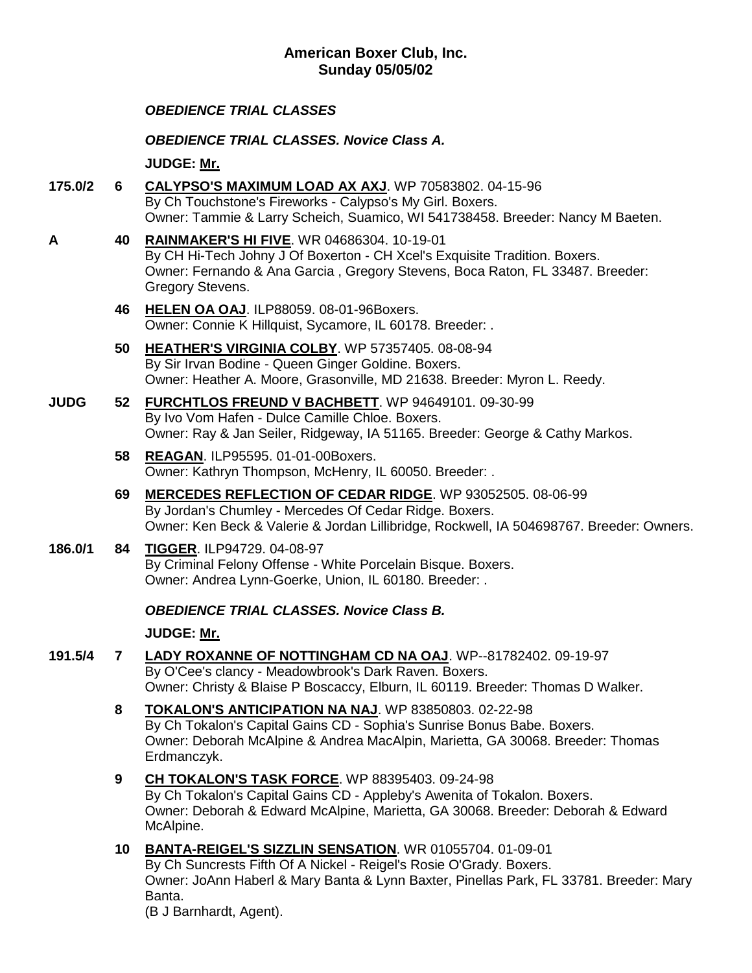## **American Boxer Club, Inc. Sunday 05/05/02**

## *OBEDIENCE TRIAL CLASSES*

*OBEDIENCE TRIAL CLASSES. Novice Class A.*

**JUDGE: [Mr.](http://www.infodog.com/show/judge/jdgprofile.htm?jn=)**

- **175.0/2 6 [CALYPSO'S MAXIMUM LOAD AX AXJ](http://www.infodog.com/my/drlookup2.htm?makc=WP%2070583802&mdog=Calypso%27s+Maximum+Load+AX+AXJ&wins=all)**. WP 70583802. 04-15-96 By Ch Touchstone's Fireworks - Calypso's My Girl. Boxers. Owner: Tammie & Larry Scheich, Suamico, WI 541738458. Breeder: Nancy M Baeten.
- **A 40 [RAINMAKER'S HI FIVE](http://www.infodog.com/my/drlookup2.htm?makc=WR%2004686304&mdog=Rainmaker%27s+Hi+Five&wins=all)**. WR 04686304. 10-19-01 By CH Hi-Tech Johny J Of Boxerton - CH Xcel's Exquisite Tradition. Boxers. Owner: Fernando & Ana Garcia , Gregory Stevens, Boca Raton, FL 33487. Breeder: Gregory Stevens.
	- **46 [HELEN OA OAJ](http://www.infodog.com/my/drlookup2.htm?makc=ILP88059&mdog=Helen+OA+OAJ&wins=all)**. ILP88059. 08-01-96Boxers. Owner: Connie K Hillquist, Sycamore, IL 60178. Breeder: .
	- **50 [HEATHER'S VIRGINIA COLBY](http://www.infodog.com/my/drlookup2.htm?makc=WP%2057357405&mdog=Heather%27s+Virginia+Colby&wins=all)**. WP 57357405. 08-08-94 By Sir Irvan Bodine - Queen Ginger Goldine. Boxers. Owner: Heather A. Moore, Grasonville, MD 21638. Breeder: Myron L. Reedy.
- **JUDG 52 [FURCHTLOS FREUND V BACHBETT](http://www.infodog.com/my/drlookup2.htm?makc=WP%2094649101&mdog=Furchtlos+Freund+V+Bachbett&wins=all)**. WP 94649101. 09-30-99 By Ivo Vom Hafen - Dulce Camille Chloe. Boxers. Owner: Ray & Jan Seiler, Ridgeway, IA 51165. Breeder: George & Cathy Markos.
	- **58 [REAGAN](http://www.infodog.com/my/drlookup2.htm?makc=ILP95595&mdog=Reagan&wins=all)**. ILP95595. 01-01-00Boxers. Owner: Kathryn Thompson, McHenry, IL 60050. Breeder: .
	- **69 [MERCEDES REFLECTION OF CEDAR RIDGE](http://www.infodog.com/my/drlookup2.htm?makc=WP%2093052505&mdog=Mercedes+Reflection+Of+Cedar+Ridge&wins=all)**. WP 93052505. 08-06-99 By Jordan's Chumley - Mercedes Of Cedar Ridge. Boxers. Owner: Ken Beck & Valerie & Jordan Lillibridge, Rockwell, IA 504698767. Breeder: Owners.
- **186.0/1 84 [TIGGER](http://www.infodog.com/my/drlookup2.htm?makc=ILP94729&mdog=Tigger&wins=all)**. ILP94729. 04-08-97 By Criminal Felony Offense - White Porcelain Bisque. Boxers. Owner: Andrea Lynn-Goerke, Union, IL 60180. Breeder: .

### *OBEDIENCE TRIAL CLASSES. Novice Class B.*

**JUDGE: [Mr.](http://www.infodog.com/show/judge/jdgprofile.htm?jn=)**

- **191.5/4 7 [LADY ROXANNE OF NOTTINGHAM CD NA OAJ](http://www.infodog.com/my/drlookup2.htm?makc=WP--81782402&mdog=Lady+Roxanne+Of+Nottingham+CD+NA+OAJ&wins=all)**. WP--81782402. 09-19-97 By O'Cee's clancy - Meadowbrook's Dark Raven. Boxers. Owner: Christy & Blaise P Boscaccy, Elburn, IL 60119. Breeder: Thomas D Walker.
	- **8 [TOKALON'S ANTICIPATION NA NAJ](http://www.infodog.com/my/drlookup2.htm?makc=WP%2083850803&mdog=Tokalon%27s+Anticipation+NA+NAJ&wins=all)**. WP 83850803. 02-22-98 By Ch Tokalon's Capital Gains CD - Sophia's Sunrise Bonus Babe. Boxers. Owner: Deborah McAlpine & Andrea MacAlpin, Marietta, GA 30068. Breeder: Thomas Erdmanczyk.
	- **9 [CH TOKALON'S TASK FORCE](http://www.infodog.com/my/drlookup2.htm?makc=WP%2088395403&mdog=Ch+Tokalon%27s+Task+Force&wins=all)**. WP 88395403. 09-24-98 By Ch Tokalon's Capital Gains CD - Appleby's Awenita of Tokalon. Boxers. Owner: Deborah & Edward McAlpine, Marietta, GA 30068. Breeder: Deborah & Edward McAlpine.
	- **10 [BANTA-REIGEL'S SIZZLIN SENSATION](http://www.infodog.com/my/drlookup2.htm?makc=WR%2001055704&mdog=Banta-Reigel%27s+Sizzlin+Sensation&wins=all)**. WR 01055704. 01-09-01 By Ch Suncrests Fifth Of A Nickel - Reigel's Rosie O'Grady. Boxers. Owner: JoAnn Haberl & Mary Banta & Lynn Baxter, Pinellas Park, FL 33781. Breeder: Mary Banta.

(B J Barnhardt, Agent).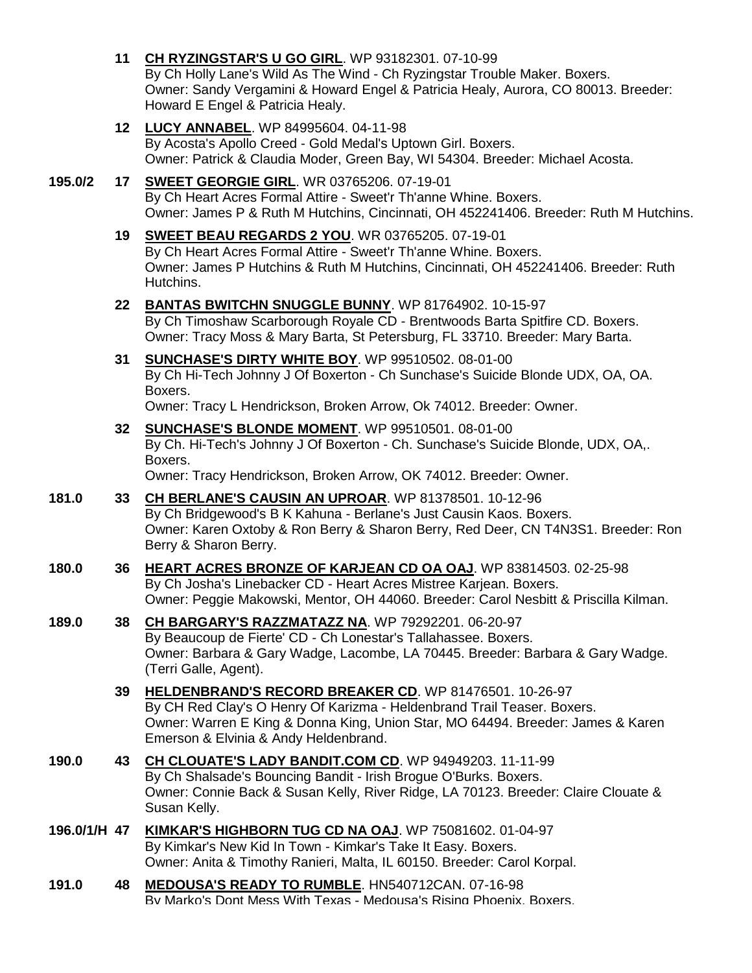- **11 [CH RYZINGSTAR'S U GO GIRL](http://www.infodog.com/my/drlookup2.htm?makc=WP%2093182301&mdog=Ch+Ryzingstar%27s+U+Go+Girl&wins=all)**. WP 93182301. 07-10-99 By Ch Holly Lane's Wild As The Wind - Ch Ryzingstar Trouble Maker. Boxers. Owner: Sandy Vergamini & Howard Engel & Patricia Healy, Aurora, CO 80013. Breeder: Howard E Engel & Patricia Healy.
- **12 [LUCY ANNABEL](http://www.infodog.com/my/drlookup2.htm?makc=WP%2084995604&mdog=Lucy+Annabel&wins=all)**. WP 84995604. 04-11-98 By Acosta's Apollo Creed - Gold Medal's Uptown Girl. Boxers. Owner: Patrick & Claudia Moder, Green Bay, WI 54304. Breeder: Michael Acosta.

#### **195.0/2 17 [SWEET GEORGIE GIRL](http://www.infodog.com/my/drlookup2.htm?makc=WR%2003765206&mdog=Sweet+Georgie+Girl&wins=all)**. WR 03765206. 07-19-01 By Ch Heart Acres Formal Attire - Sweet'r Th'anne Whine. Boxers. Owner: James P & Ruth M Hutchins, Cincinnati, OH 452241406. Breeder: Ruth M Hutchins.

- **19 [SWEET BEAU REGARDS 2 YOU](http://www.infodog.com/my/drlookup2.htm?makc=WR%2003765205&mdog=Sweet+Beau+Regards+2+You&wins=all)**. WR 03765205. 07-19-01 By Ch Heart Acres Formal Attire - Sweet'r Th'anne Whine. Boxers. Owner: James P Hutchins & Ruth M Hutchins, Cincinnati, OH 452241406. Breeder: Ruth Hutchins.
- **22 [BANTAS BWITCHN SNUGGLE BUNNY](http://www.infodog.com/my/drlookup2.htm?makc=WP%2081764902&mdog=Bantas+Bwitchn+Snuggle+Bunny&wins=all)**. WP 81764902. 10-15-97 By Ch Timoshaw Scarborough Royale CD - Brentwoods Barta Spitfire CD. Boxers. Owner: Tracy Moss & Mary Barta, St Petersburg, FL 33710. Breeder: Mary Barta.
- **31 [SUNCHASE'S DIRTY WHITE BOY](http://www.infodog.com/my/drlookup2.htm?makc=WP%2099510502&mdog=Sunchase%27s+Dirty+White+Boy&wins=all)**. WP 99510502. 08-01-00 By Ch Hi-Tech Johnny J Of Boxerton - Ch Sunchase's Suicide Blonde UDX, OA, OA. Boxers.

Owner: Tracy L Hendrickson, Broken Arrow, Ok 74012. Breeder: Owner.

**32 [SUNCHASE'S BLONDE MOMENT](http://www.infodog.com/my/drlookup2.htm?makc=WP%2099510501&mdog=Sunchase%27s+Blonde+Moment&wins=all)**. WP 99510501. 08-01-00 By Ch. Hi-Tech's Johnny J Of Boxerton - Ch. Sunchase's Suicide Blonde, UDX, OA,. Boxers.

Owner: Tracy Hendrickson, Broken Arrow, OK 74012. Breeder: Owner.

- **181.0 33 [CH BERLANE'S CAUSIN AN UPROAR](http://www.infodog.com/my/drlookup2.htm?makc=WP%2081378501&mdog=Ch+Berlane%27s+Causin+An+Uproar&wins=all)**. WP 81378501. 10-12-96 By Ch Bridgewood's B K Kahuna - Berlane's Just Causin Kaos. Boxers. Owner: Karen Oxtoby & Ron Berry & Sharon Berry, Red Deer, CN T4N3S1. Breeder: Ron Berry & Sharon Berry.
- **180.0 36 [HEART ACRES BRONZE OF KARJEAN CD OA OAJ](http://www.infodog.com/my/drlookup2.htm?makc=WP%2083814503&mdog=Heart+Acres+Bronze+Of+Karjean+CD+OA+OAJ&wins=all)**. WP 83814503. 02-25-98 By Ch Josha's Linebacker CD - Heart Acres Mistree Karjean. Boxers. Owner: Peggie Makowski, Mentor, OH 44060. Breeder: Carol Nesbitt & Priscilla Kilman.
- **189.0 38 [CH BARGARY'S RAZZMATAZZ NA](http://www.infodog.com/my/drlookup2.htm?makc=WP%2079292201&mdog=Ch+Bargary%27s+Razzmatazz+NA&wins=all)**. WP 79292201. 06-20-97 By Beaucoup de Fierte' CD - Ch Lonestar's Tallahassee. Boxers. Owner: Barbara & Gary Wadge, Lacombe, LA 70445. Breeder: Barbara & Gary Wadge. (Terri Galle, Agent).
	- **39 [HELDENBRAND'S RECORD BREAKER CD](http://www.infodog.com/my/drlookup2.htm?makc=WP%2081476501&mdog=Heldenbrand%27s+Record+Breaker+CD&wins=all)**. WP 81476501. 10-26-97 By CH Red Clay's O Henry Of Karizma - Heldenbrand Trail Teaser. Boxers. Owner: Warren E King & Donna King, Union Star, MO 64494. Breeder: James & Karen Emerson & Elvinia & Andy Heldenbrand.
- **190.0 43 [CH CLOUATE'S LADY BANDIT.COM CD](http://www.infodog.com/my/drlookup2.htm?makc=WP%2094949203&mdog=Ch+Clouate%27s+Lady+Bandit.Com+CD&wins=all)**. WP 94949203. 11-11-99 By Ch Shalsade's Bouncing Bandit - Irish Brogue O'Burks. Boxers. Owner: Connie Back & Susan Kelly, River Ridge, LA 70123. Breeder: Claire Clouate & Susan Kelly.
- **196.0/1/H 47 [KIMKAR'S HIGHBORN TUG CD NA OAJ](http://www.infodog.com/my/drlookup2.htm?makc=WP%2075081602&mdog=Kimkar%27s+Highborn+Tug+CD+NA+OAJ&wins=all)**. WP 75081602. 01-04-97 By Kimkar's New Kid In Town - Kimkar's Take It Easy. Boxers. Owner: Anita & Timothy Ranieri, Malta, IL 60150. Breeder: Carol Korpal.
- **191.0 48 [MEDOUSA'S READY TO RUMBLE](http://www.infodog.com/my/drlookup2.htm?makc=HN540712CAN&mdog=Medousa%27s+Ready+To+Rumble&wins=all)**. HN540712CAN. 07-16-98 By Marko's Dont Mess With Texas - Medousa's Rising Phoenix. Boxers.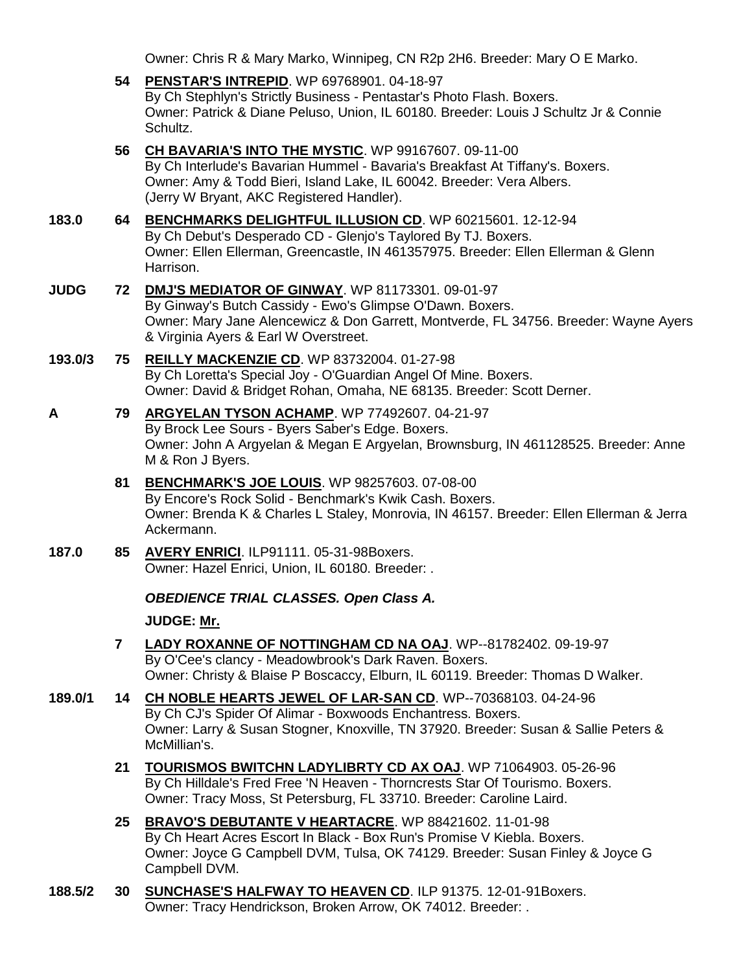Owner: Chris R & Mary Marko, Winnipeg, CN R2p 2H6. Breeder: Mary O E Marko.

- **54 [PENSTAR'S INTREPID](http://www.infodog.com/my/drlookup2.htm?makc=WP%2069768901&mdog=Penstar%27s+Intrepid&wins=all)**. WP 69768901. 04-18-97 By Ch Stephlyn's Strictly Business - Pentastar's Photo Flash. Boxers. Owner: Patrick & Diane Peluso, Union, IL 60180. Breeder: Louis J Schultz Jr & Connie Schultz. **56 [CH BAVARIA'S INTO THE MYSTIC](http://www.infodog.com/my/drlookup2.htm?makc=WP%2099167607&mdog=Ch+Bavaria%27s+Into+The+Mystic&wins=all)**. WP 99167607. 09-11-00 By Ch Interlude's Bavarian Hummel - Bavaria's Breakfast At Tiffany's. Boxers. Owner: Amy & Todd Bieri, Island Lake, IL 60042. Breeder: Vera Albers. (Jerry W Bryant, AKC Registered Handler). **183.0 64 [BENCHMARKS DELIGHTFUL ILLUSION CD](http://www.infodog.com/my/drlookup2.htm?makc=WP%2060215601&mdog=Benchmarks+Delightful+Illusion+CD&wins=all)**. WP 60215601. 12-12-94 By Ch Debut's Desperado CD - Glenjo's Taylored By TJ. Boxers. Owner: Ellen Ellerman, Greencastle, IN 461357975. Breeder: Ellen Ellerman & Glenn Harrison. **JUDG 72 [DMJ'S MEDIATOR OF GINWAY](http://www.infodog.com/my/drlookup2.htm?makc=WP%2081173301&mdog=DMJ%27s+Mediator+Of+Ginway&wins=all)**. WP 81173301. 09-01-97 By Ginway's Butch Cassidy - Ewo's Glimpse O'Dawn. Boxers. Owner: Mary Jane Alencewicz & Don Garrett, Montverde, FL 34756. Breeder: Wayne Ayers & Virginia Ayers & Earl W Overstreet. **193.0/3 75 [REILLY MACKENZIE CD](http://www.infodog.com/my/drlookup2.htm?makc=WP%2083732004&mdog=Reilly+Mackenzie+CD&wins=all)**. WP 83732004. 01-27-98 By Ch Loretta's Special Joy - O'Guardian Angel Of Mine. Boxers. Owner: David & Bridget Rohan, Omaha, NE 68135. Breeder: Scott Derner. **A 79 [ARGYELAN TYSON ACHAMP](http://www.infodog.com/my/drlookup2.htm?makc=WP%2077492607&mdog=Argyelan+Tyson+Achamp&wins=all)**. WP 77492607. 04-21-97 By Brock Lee Sours - Byers Saber's Edge. Boxers. Owner: John A Argyelan & Megan E Argyelan, Brownsburg, IN 461128525. Breeder: Anne M & Ron J Byers. **81 [BENCHMARK'S JOE LOUIS](http://www.infodog.com/my/drlookup2.htm?makc=WP%2098257603&mdog=Benchmark%27s+Joe+Louis&wins=all)**. WP 98257603. 07-08-00 By Encore's Rock Solid - Benchmark's Kwik Cash. Boxers. Owner: Brenda K & Charles L Staley, Monrovia, IN 46157. Breeder: Ellen Ellerman & Jerra Ackermann. **187.0 85 [AVERY ENRICI](http://www.infodog.com/my/drlookup2.htm?makc=ILP91111&mdog=Avery+Enrici&wins=all)**. ILP91111. 05-31-98Boxers. Owner: Hazel Enrici, Union, IL 60180. Breeder: . *OBEDIENCE TRIAL CLASSES. Open Class A.* **JUDGE: [Mr.](http://www.infodog.com/show/judge/jdgprofile.htm?jn=) 7 [LADY ROXANNE OF NOTTINGHAM CD NA OAJ](http://www.infodog.com/my/drlookup2.htm?makc=WP--81782402&mdog=Lady+Roxanne+Of+Nottingham+CD+NA+OAJ&wins=all)**. WP--81782402. 09-19-97 By O'Cee's clancy - Meadowbrook's Dark Raven. Boxers. Owner: Christy & Blaise P Boscaccy, Elburn, IL 60119. Breeder: Thomas D Walker. **189.0/1 14 [CH NOBLE HEARTS JEWEL OF LAR-SAN CD](http://www.infodog.com/my/drlookup2.htm?makc=WP--70368103&mdog=Ch+Noble+Hearts+Jewel+Of+Lar-San+CD&wins=all)**. WP--70368103. 04-24-96 By Ch CJ's Spider Of Alimar - Boxwoods Enchantress. Boxers. Owner: Larry & Susan Stogner, Knoxville, TN 37920. Breeder: Susan & Sallie Peters & McMillian's. **21 [TOURISMOS BWITCHN LADYLIBRTY CD AX OAJ](http://www.infodog.com/my/drlookup2.htm?makc=WP%2071064903&mdog=Tourismos+Bwitchn+LadyLibrty+CD+AX+OAJ&wins=all)**. WP 71064903. 05-26-96 By Ch Hilldale's Fred Free 'N Heaven - Thorncrests Star Of Tourismo. Boxers. Owner: Tracy Moss, St Petersburg, FL 33710. Breeder: Caroline Laird. **25 [BRAVO'S DEBUTANTE V HEARTACRE](http://www.infodog.com/my/drlookup2.htm?makc=WP%2088421602&mdog=Bravo%27s+Debutante+V+Heartacre&wins=all)**. WP 88421602. 11-01-98 By Ch Heart Acres Escort In Black - Box Run's Promise V Kiebla. Boxers. Owner: Joyce G Campbell DVM, Tulsa, OK 74129. Breeder: Susan Finley & Joyce G Campbell DVM.
- **188.5/2 30 [SUNCHASE'S HALFWAY TO HEAVEN CD](http://www.infodog.com/my/drlookup2.htm?makc=ILP%2091375&mdog=Sunchase%27s+Halfway+To+Heaven+CD&wins=all)**. ILP 91375. 12-01-91Boxers. Owner: Tracy Hendrickson, Broken Arrow, OK 74012. Breeder: .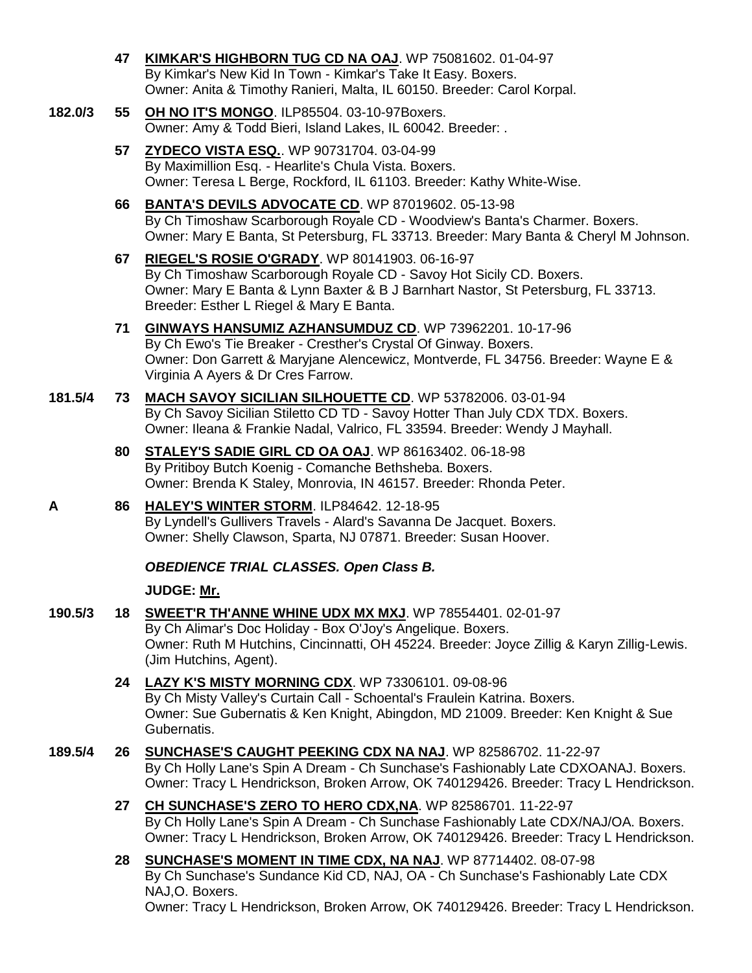**47 [KIMKAR'S HIGHBORN TUG CD NA OAJ](http://www.infodog.com/my/drlookup2.htm?makc=WP%2075081602&mdog=Kimkar%27s+Highborn+Tug+CD+NA+OAJ&wins=all)**. WP 75081602. 01-04-97 By Kimkar's New Kid In Town - Kimkar's Take It Easy. Boxers. Owner: Anita & Timothy Ranieri, Malta, IL 60150. Breeder: Carol Korpal.

### **182.0/3 55 [OH NO IT'S MONGO](http://www.infodog.com/my/drlookup2.htm?makc=ILP85504&mdog=Oh+No+It%27s+Mongo&wins=all)**. ILP85504. 03-10-97Boxers. Owner: Amy & Todd Bieri, Island Lakes, IL 60042. Breeder: .

- **57 [ZYDECO VISTA ESQ.](http://www.infodog.com/my/drlookup2.htm?makc=WP%2090731704&mdog=Zydeco+Vista+Esq.&wins=all)**. WP 90731704. 03-04-99 By Maximillion Esq. - Hearlite's Chula Vista. Boxers. Owner: Teresa L Berge, Rockford, IL 61103. Breeder: Kathy White-Wise.
- **66 [BANTA'S DEVILS ADVOCATE CD](http://www.infodog.com/my/drlookup2.htm?makc=WP%2087019602&mdog=Banta%27s+Devils+Advocate+CD&wins=all)**. WP 87019602. 05-13-98 By Ch Timoshaw Scarborough Royale CD - Woodview's Banta's Charmer. Boxers. Owner: Mary E Banta, St Petersburg, FL 33713. Breeder: Mary Banta & Cheryl M Johnson.
- **67 [RIEGEL'S ROSIE O'GRADY](http://www.infodog.com/my/drlookup2.htm?makc=WP%2080141903&mdog=Riegel%27s+Rosie+O%27Grady&wins=all)**. WP 80141903. 06-16-97 By Ch Timoshaw Scarborough Royale CD - Savoy Hot Sicily CD. Boxers. Owner: Mary E Banta & Lynn Baxter & B J Barnhart Nastor, St Petersburg, FL 33713. Breeder: Esther L Riegel & Mary E Banta.
- **71 [GINWAYS HANSUMIZ AZHANSUMDUZ CD](http://www.infodog.com/my/drlookup2.htm?makc=WP%2073962201&mdog=Ginways+Hansumiz+Azhansumduz+CD&wins=all)**. WP 73962201. 10-17-96 By Ch Ewo's Tie Breaker - Cresther's Crystal Of Ginway. Boxers. Owner: Don Garrett & Maryjane Alencewicz, Montverde, FL 34756. Breeder: Wayne E & Virginia A Ayers & Dr Cres Farrow.
- **181.5/4 73 [MACH SAVOY SICILIAN SILHOUETTE CD](http://www.infodog.com/my/drlookup2.htm?makc=WP%2053782006&mdog=MACh+Savoy+Sicilian+Silhouette+CD&wins=all)**. WP 53782006. 03-01-94 By Ch Savoy Sicilian Stiletto CD TD - Savoy Hotter Than July CDX TDX. Boxers. Owner: Ileana & Frankie Nadal, Valrico, FL 33594. Breeder: Wendy J Mayhall.
	- **80 [STALEY'S SADIE GIRL CD OA OAJ](http://www.infodog.com/my/drlookup2.htm?makc=WP%2086163402&mdog=Staley%27s+Sadie+Girl+CD+OA+OAJ&wins=all)**. WP 86163402. 06-18-98 By Pritiboy Butch Koenig - Comanche Bethsheba. Boxers. Owner: Brenda K Staley, Monrovia, IN 46157. Breeder: Rhonda Peter.
- **A 86 [HALEY'S WINTER STORM](http://www.infodog.com/my/drlookup2.htm?makc=ILP84642&mdog=Haley%27s+Winter+Storm&wins=all)**. ILP84642. 12-18-95 By Lyndell's Gullivers Travels - Alard's Savanna De Jacquet. Boxers. Owner: Shelly Clawson, Sparta, NJ 07871. Breeder: Susan Hoover.

# *OBEDIENCE TRIAL CLASSES. Open Class B.*

# **JUDGE: [Mr.](http://www.infodog.com/show/judge/jdgprofile.htm?jn=)**

- **190.5/3 18 [SWEET'R TH'ANNE WHINE UDX MX MXJ](http://www.infodog.com/my/drlookup2.htm?makc=WP%2078554401&mdog=Sweet%27r+Th%27anne+Whine+UDX+MX+MXJ&wins=all)**. WP 78554401. 02-01-97 By Ch Alimar's Doc Holiday - Box O'Joy's Angelique. Boxers. Owner: Ruth M Hutchins, Cincinnatti, OH 45224. Breeder: Joyce Zillig & Karyn Zillig-Lewis. (Jim Hutchins, Agent).
	- **24 [LAZY K'S MISTY MORNING CDX](http://www.infodog.com/my/drlookup2.htm?makc=WP%2073306101&mdog=Lazy+K%27s+Misty+Morning+CDX&wins=all)**. WP 73306101. 09-08-96 By Ch Misty Valley's Curtain Call - Schoental's Fraulein Katrina. Boxers. Owner: Sue Gubernatis & Ken Knight, Abingdon, MD 21009. Breeder: Ken Knight & Sue Gubernatis.
- **189.5/4 26 [SUNCHASE'S CAUGHT PEEKING CDX NA NAJ](http://www.infodog.com/my/drlookup2.htm?makc=WP%2082586702&mdog=Sunchase%27s+Caught+Peeking+CDX+NA+NAJ&wins=all)**. WP 82586702. 11-22-97 By Ch Holly Lane's Spin A Dream - Ch Sunchase's Fashionably Late CDXOANAJ. Boxers. Owner: Tracy L Hendrickson, Broken Arrow, OK 740129426. Breeder: Tracy L Hendrickson.
	- **27 [CH SUNCHASE'S ZERO TO HERO CDX,NA](http://www.infodog.com/my/drlookup2.htm?makc=WP%2082586701&mdog=Ch+Sunchase%27s+Zero+To+Hero+CDX,NA&wins=all)**. WP 82586701. 11-22-97 By Ch Holly Lane's Spin A Dream - Ch Sunchase Fashionably Late CDX/NAJ/OA. Boxers. Owner: Tracy L Hendrickson, Broken Arrow, OK 740129426. Breeder: Tracy L Hendrickson.
	- **28 [SUNCHASE'S MOMENT IN TIME CDX, NA NAJ](http://www.infodog.com/my/drlookup2.htm?makc=WP%2087714402&mdog=Sunchase%27s+Moment+In+Time+CDX,+NA+NAJ&wins=all)**. WP 87714402. 08-07-98 By Ch Sunchase's Sundance Kid CD, NAJ, OA - Ch Sunchase's Fashionably Late CDX NAJ,O. Boxers. Owner: Tracy L Hendrickson, Broken Arrow, OK 740129426. Breeder: Tracy L Hendrickson.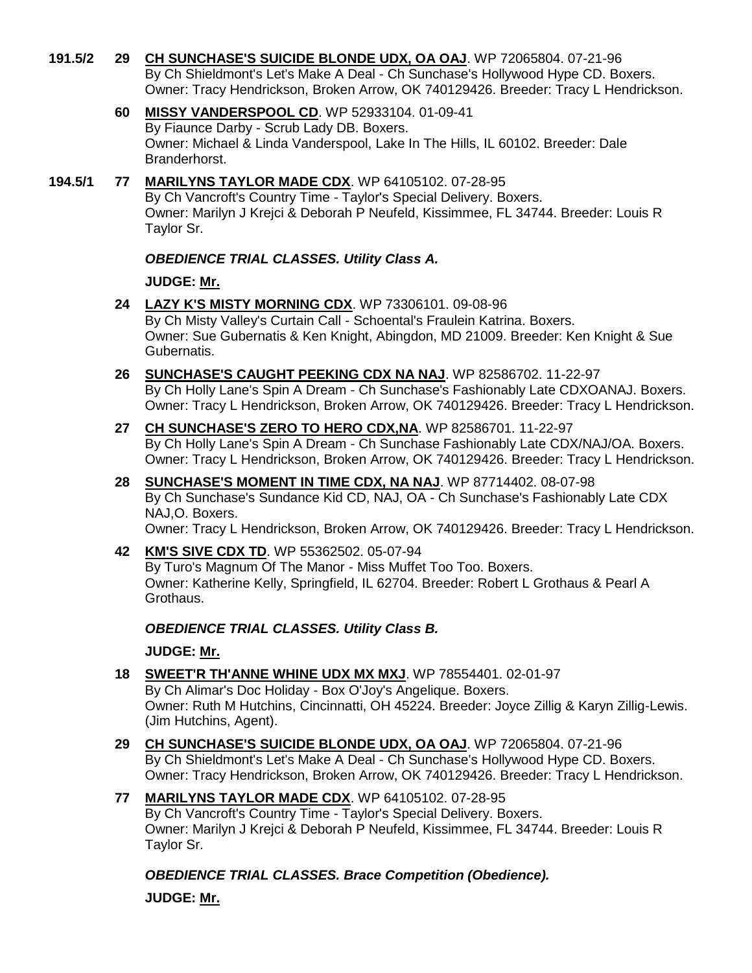- **191.5/2 29 [CH SUNCHASE'S SUICIDE BLONDE UDX, OA OAJ](http://www.infodog.com/my/drlookup2.htm?makc=WP%2072065804&mdog=Ch+Sunchase%27s+Suicide+Blonde+UDX,+OA+OAJ&wins=all)**. WP 72065804. 07-21-96 By Ch Shieldmont's Let's Make A Deal - Ch Sunchase's Hollywood Hype CD. Boxers. Owner: Tracy Hendrickson, Broken Arrow, OK 740129426. Breeder: Tracy L Hendrickson.
	- **60 [MISSY VANDERSPOOL CD](http://www.infodog.com/my/drlookup2.htm?makc=WP%2052933104&mdog=Missy+Vanderspool+CD&wins=all)**. WP 52933104. 01-09-41 By Fiaunce Darby - Scrub Lady DB. Boxers. Owner: Michael & Linda Vanderspool, Lake In The Hills, IL 60102. Breeder: Dale Branderhorst.
- **194.5/1 77 [MARILYNS TAYLOR MADE CDX](http://www.infodog.com/my/drlookup2.htm?makc=WP%2064105102&mdog=Marilyns+Taylor+Made+CDX&wins=all)**. WP 64105102. 07-28-95 By Ch Vancroft's Country Time - Taylor's Special Delivery. Boxers. Owner: Marilyn J Krejci & Deborah P Neufeld, Kissimmee, FL 34744. Breeder: Louis R Taylor Sr.

## *OBEDIENCE TRIAL CLASSES. Utility Class A.*

**JUDGE: [Mr.](http://www.infodog.com/show/judge/jdgprofile.htm?jn=)**

- **24 [LAZY K'S MISTY MORNING CDX](http://www.infodog.com/my/drlookup2.htm?makc=WP%2073306101&mdog=Lazy+K%27s+Misty+Morning+CDX&wins=all)**. WP 73306101. 09-08-96 By Ch Misty Valley's Curtain Call - Schoental's Fraulein Katrina. Boxers. Owner: Sue Gubernatis & Ken Knight, Abingdon, MD 21009. Breeder: Ken Knight & Sue Gubernatis.
- **26 [SUNCHASE'S CAUGHT PEEKING CDX NA NAJ](http://www.infodog.com/my/drlookup2.htm?makc=WP%2082586702&mdog=Sunchase%27s+Caught+Peeking+CDX+NA+NAJ&wins=all)**. WP 82586702. 11-22-97 By Ch Holly Lane's Spin A Dream - Ch Sunchase's Fashionably Late CDXOANAJ. Boxers. Owner: Tracy L Hendrickson, Broken Arrow, OK 740129426. Breeder: Tracy L Hendrickson.
- **27 [CH SUNCHASE'S ZERO TO HERO CDX,NA](http://www.infodog.com/my/drlookup2.htm?makc=WP%2082586701&mdog=Ch+Sunchase%27s+Zero+To+Hero+CDX,NA&wins=all)**. WP 82586701. 11-22-97 By Ch Holly Lane's Spin A Dream - Ch Sunchase Fashionably Late CDX/NAJ/OA. Boxers. Owner: Tracy L Hendrickson, Broken Arrow, OK 740129426. Breeder: Tracy L Hendrickson.
- **28 [SUNCHASE'S MOMENT IN TIME CDX, NA NAJ](http://www.infodog.com/my/drlookup2.htm?makc=WP%2087714402&mdog=Sunchase%27s+Moment+In+Time+CDX,+NA+NAJ&wins=all)**. WP 87714402. 08-07-98 By Ch Sunchase's Sundance Kid CD, NAJ, OA - Ch Sunchase's Fashionably Late CDX NAJ,O. Boxers. Owner: Tracy L Hendrickson, Broken Arrow, OK 740129426. Breeder: Tracy L Hendrickson.
- **42 [KM'S SIVE CDX TD](http://www.infodog.com/my/drlookup2.htm?makc=WP%2055362502&mdog=KM%27s+Sive+CDX+TD&wins=all)**. WP 55362502. 05-07-94 By Turo's Magnum Of The Manor - Miss Muffet Too Too. Boxers. Owner: Katherine Kelly, Springfield, IL 62704. Breeder: Robert L Grothaus & Pearl A Grothaus.

*OBEDIENCE TRIAL CLASSES. Utility Class B.*

**JUDGE: [Mr.](http://www.infodog.com/show/judge/jdgprofile.htm?jn=)**

- **18 [SWEET'R TH'ANNE WHINE UDX MX MXJ](http://www.infodog.com/my/drlookup2.htm?makc=WP%2078554401&mdog=Sweet%27r+Th%27anne+Whine+UDX+MX+MXJ&wins=all)**. WP 78554401. 02-01-97 By Ch Alimar's Doc Holiday - Box O'Joy's Angelique. Boxers. Owner: Ruth M Hutchins, Cincinnatti, OH 45224. Breeder: Joyce Zillig & Karyn Zillig-Lewis. (Jim Hutchins, Agent).
- **29 [CH SUNCHASE'S SUICIDE BLONDE UDX, OA OAJ](http://www.infodog.com/my/drlookup2.htm?makc=WP%2072065804&mdog=Ch+Sunchase%27s+Suicide+Blonde+UDX,+OA+OAJ&wins=all)**. WP 72065804. 07-21-96 By Ch Shieldmont's Let's Make A Deal - Ch Sunchase's Hollywood Hype CD. Boxers. Owner: Tracy Hendrickson, Broken Arrow, OK 740129426. Breeder: Tracy L Hendrickson.
- **77 [MARILYNS TAYLOR MADE CDX](http://www.infodog.com/my/drlookup2.htm?makc=WP%2064105102&mdog=Marilyns+Taylor+Made+CDX&wins=all)**. WP 64105102. 07-28-95 By Ch Vancroft's Country Time - Taylor's Special Delivery. Boxers. Owner: Marilyn J Krejci & Deborah P Neufeld, Kissimmee, FL 34744. Breeder: Louis R Taylor Sr.

*OBEDIENCE TRIAL CLASSES. Brace Competition (Obedience).* **JUDGE: [Mr.](http://www.infodog.com/show/judge/jdgprofile.htm?jn=)**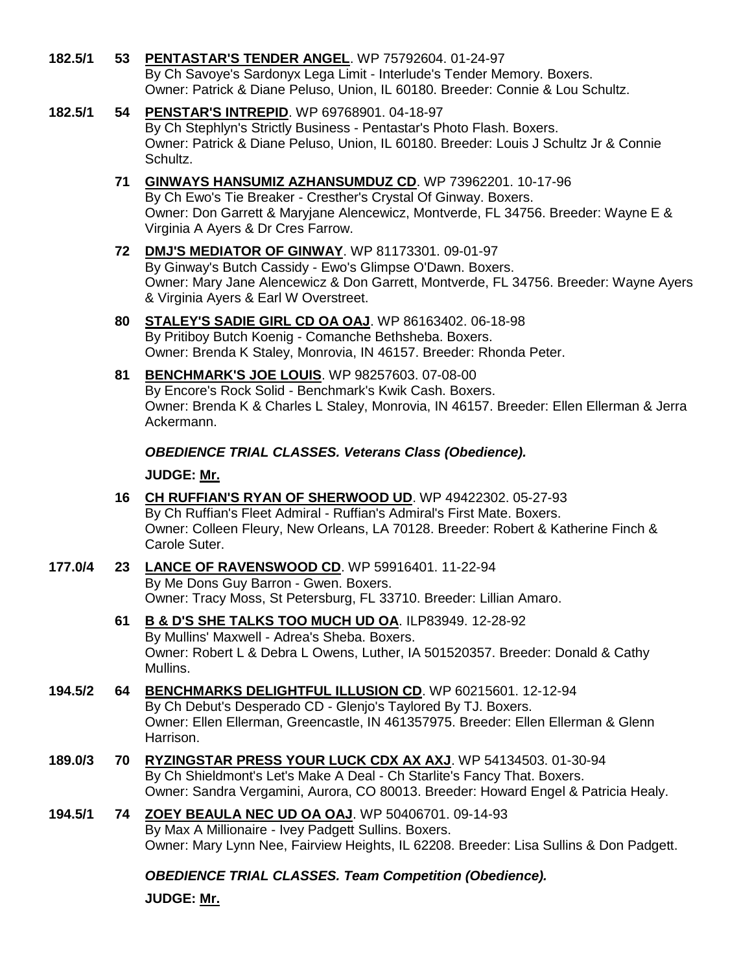- **182.5/1 53 [PENTASTAR'S TENDER ANGEL](http://www.infodog.com/my/drlookup2.htm?makc=WP%2075792604&mdog=Pentastar%27s+Tender+Angel&wins=all)**. WP 75792604. 01-24-97 By Ch Savoye's Sardonyx Lega Limit - Interlude's Tender Memory. Boxers. Owner: Patrick & Diane Peluso, Union, IL 60180. Breeder: Connie & Lou Schultz.
- **182.5/1 54 [PENSTAR'S INTREPID](http://www.infodog.com/my/drlookup2.htm?makc=WP%2069768901&mdog=Penstar%27s+Intrepid&wins=all)**. WP 69768901. 04-18-97 By Ch Stephlyn's Strictly Business - Pentastar's Photo Flash. Boxers. Owner: Patrick & Diane Peluso, Union, IL 60180. Breeder: Louis J Schultz Jr & Connie Schultz.
	- **71 [GINWAYS HANSUMIZ AZHANSUMDUZ CD](http://www.infodog.com/my/drlookup2.htm?makc=WP%2073962201&mdog=Ginways+Hansumiz+Azhansumduz+CD&wins=all)**. WP 73962201. 10-17-96 By Ch Ewo's Tie Breaker - Cresther's Crystal Of Ginway. Boxers. Owner: Don Garrett & Maryjane Alencewicz, Montverde, FL 34756. Breeder: Wayne E & Virginia A Ayers & Dr Cres Farrow.
	- **72 [DMJ'S MEDIATOR OF GINWAY](http://www.infodog.com/my/drlookup2.htm?makc=WP%2081173301&mdog=DMJ%27s+Mediator+Of+Ginway&wins=all)**. WP 81173301. 09-01-97 By Ginway's Butch Cassidy - Ewo's Glimpse O'Dawn. Boxers. Owner: Mary Jane Alencewicz & Don Garrett, Montverde, FL 34756. Breeder: Wayne Ayers & Virginia Ayers & Earl W Overstreet.
	- **80 [STALEY'S SADIE GIRL CD OA OAJ](http://www.infodog.com/my/drlookup2.htm?makc=WP%2086163402&mdog=Staley%27s+Sadie+Girl+CD+OA+OAJ&wins=all)**. WP 86163402. 06-18-98 By Pritiboy Butch Koenig - Comanche Bethsheba. Boxers. Owner: Brenda K Staley, Monrovia, IN 46157. Breeder: Rhonda Peter.
	- **81 [BENCHMARK'S JOE LOUIS](http://www.infodog.com/my/drlookup2.htm?makc=WP%2098257603&mdog=Benchmark%27s+Joe+Louis&wins=all)**. WP 98257603. 07-08-00 By Encore's Rock Solid - Benchmark's Kwik Cash. Boxers. Owner: Brenda K & Charles L Staley, Monrovia, IN 46157. Breeder: Ellen Ellerman & Jerra Ackermann.

*OBEDIENCE TRIAL CLASSES. Veterans Class (Obedience).*

**JUDGE: [Mr.](http://www.infodog.com/show/judge/jdgprofile.htm?jn=)**

- **16 [CH RUFFIAN'S RYAN OF SHERWOOD UD](http://www.infodog.com/my/drlookup2.htm?makc=WP%2049422302&mdog=Ch+Ruffian%27s+Ryan+Of+Sherwood+UD&wins=all)**. WP 49422302. 05-27-93 By Ch Ruffian's Fleet Admiral - Ruffian's Admiral's First Mate. Boxers. Owner: Colleen Fleury, New Orleans, LA 70128. Breeder: Robert & Katherine Finch & Carole Suter.
- **177.0/4 23 [LANCE OF RAVENSWOOD CD](http://www.infodog.com/my/drlookup2.htm?makc=WP%2059916401&mdog=Lance+Of+Ravenswood+CD&wins=all)**. WP 59916401. 11-22-94 By Me Dons Guy Barron - Gwen. Boxers. Owner: Tracy Moss, St Petersburg, FL 33710. Breeder: Lillian Amaro.
	- **61 [B & D'S SHE TALKS TOO MUCH UD OA](http://www.infodog.com/my/drlookup2.htm?makc=ILP83949&mdog=B+&+D%27s+She+Talks+Too+Much+UD+OA&wins=all)**. ILP83949. 12-28-92 By Mullins' Maxwell - Adrea's Sheba. Boxers. Owner: Robert L & Debra L Owens, Luther, IA 501520357. Breeder: Donald & Cathy Mullins.
- **194.5/2 64 [BENCHMARKS DELIGHTFUL ILLUSION CD](http://www.infodog.com/my/drlookup2.htm?makc=WP%2060215601&mdog=Benchmarks+Delightful+Illusion+CD&wins=all)**. WP 60215601. 12-12-94 By Ch Debut's Desperado CD - Glenjo's Taylored By TJ. Boxers. Owner: Ellen Ellerman, Greencastle, IN 461357975. Breeder: Ellen Ellerman & Glenn Harrison.
- **189.0/3 70 [RYZINGSTAR PRESS YOUR LUCK CDX AX AXJ](http://www.infodog.com/my/drlookup2.htm?makc=WP%2054134503&mdog=Ryzingstar+Press+Your+Luck+CDX+AX+AXJ&wins=all)**. WP 54134503. 01-30-94 By Ch Shieldmont's Let's Make A Deal - Ch Starlite's Fancy That. Boxers. Owner: Sandra Vergamini, Aurora, CO 80013. Breeder: Howard Engel & Patricia Healy.
- **194.5/1 74 [ZOEY BEAULA NEC UD OA OAJ](http://www.infodog.com/my/drlookup2.htm?makc=WP%2050406701&mdog=Zoey+Beaula+Nec+UD+OA+OAJ&wins=all)**. WP 50406701. 09-14-93 By Max A Millionaire - Ivey Padgett Sullins. Boxers. Owner: Mary Lynn Nee, Fairview Heights, IL 62208. Breeder: Lisa Sullins & Don Padgett.

*OBEDIENCE TRIAL CLASSES. Team Competition (Obedience).*

**JUDGE: [Mr.](http://www.infodog.com/show/judge/jdgprofile.htm?jn=)**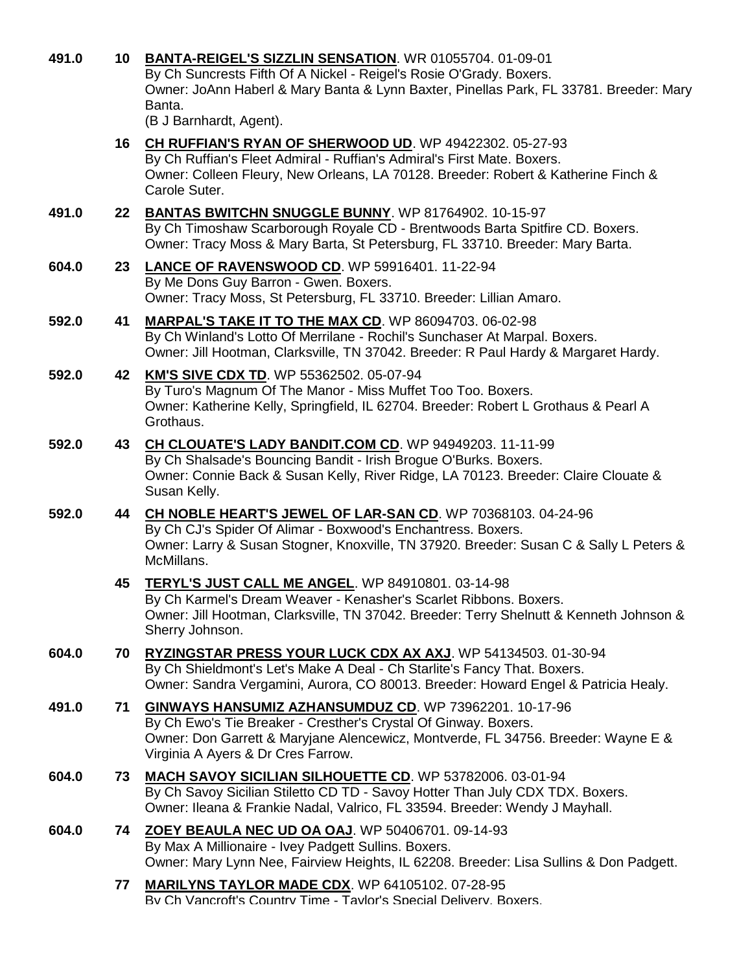| 491.0 |    | 10 BANTA-REIGEL'S SIZZLIN SENSATION. WR 01055704. 01-09-01<br>By Ch Suncrests Fifth Of A Nickel - Reigel's Rosie O'Grady. Boxers.<br>Owner: JoAnn Haberl & Mary Banta & Lynn Baxter, Pinellas Park, FL 33781. Breeder: Mary<br>Banta.<br>(B J Barnhardt, Agent). |
|-------|----|------------------------------------------------------------------------------------------------------------------------------------------------------------------------------------------------------------------------------------------------------------------|
|       |    | 16 CH RUFFIAN'S RYAN OF SHERWOOD UD. WP 49422302. 05-27-93<br>By Ch Ruffian's Fleet Admiral - Ruffian's Admiral's First Mate. Boxers.<br>Owner: Colleen Fleury, New Orleans, LA 70128. Breeder: Robert & Katherine Finch &<br>Carole Suter.                      |
| 491.0 |    | 22 BANTAS BWITCHN SNUGGLE BUNNY. WP 81764902. 10-15-97<br>By Ch Timoshaw Scarborough Royale CD - Brentwoods Barta Spitfire CD. Boxers.<br>Owner: Tracy Moss & Mary Barta, St Petersburg, FL 33710. Breeder: Mary Barta.                                          |
| 604.0 | 23 | LANCE OF RAVENSWOOD CD. WP 59916401. 11-22-94<br>By Me Dons Guy Barron - Gwen. Boxers.<br>Owner: Tracy Moss, St Petersburg, FL 33710. Breeder: Lillian Amaro.                                                                                                    |
| 592.0 | 41 | MARPAL'S TAKE IT TO THE MAX CD. WP 86094703. 06-02-98<br>By Ch Winland's Lotto Of Merrilane - Rochil's Sunchaser At Marpal. Boxers.<br>Owner: Jill Hootman, Clarksville, TN 37042. Breeder: R Paul Hardy & Margaret Hardy.                                       |
| 592.0 |    | 42 KM'S SIVE CDX TD. WP 55362502. 05-07-94<br>By Turo's Magnum Of The Manor - Miss Muffet Too Too. Boxers.<br>Owner: Katherine Kelly, Springfield, IL 62704. Breeder: Robert L Grothaus & Pearl A<br>Grothaus.                                                   |
| 592.0 | 43 | CH CLOUATE'S LADY BANDIT.COM CD. WP 94949203. 11-11-99<br>By Ch Shalsade's Bouncing Bandit - Irish Brogue O'Burks. Boxers.<br>Owner: Connie Back & Susan Kelly, River Ridge, LA 70123. Breeder: Claire Clouate &<br>Susan Kelly.                                 |
| 592.0 | 44 | CH NOBLE HEART'S JEWEL OF LAR-SAN CD. WP 70368103. 04-24-96<br>By Ch CJ's Spider Of Alimar - Boxwood's Enchantress. Boxers.<br>Owner: Larry & Susan Stogner, Knoxville, TN 37920. Breeder: Susan C & Sally L Peters &<br>McMillans.                              |
|       | 45 | TERYL'S JUST CALL ME ANGEL. WP 84910801. 03-14-98<br>By Ch Karmel's Dream Weaver - Kenasher's Scarlet Ribbons. Boxers.<br>Owner: Jill Hootman, Clarksville, TN 37042. Breeder: Terry Shelnutt & Kenneth Johnson &<br>Sherry Johnson.                             |
| 604.0 | 70 | RYZINGSTAR PRESS YOUR LUCK CDX AX AXJ. WP 54134503. 01-30-94<br>By Ch Shieldmont's Let's Make A Deal - Ch Starlite's Fancy That. Boxers.<br>Owner: Sandra Vergamini, Aurora, CO 80013. Breeder: Howard Engel & Patricia Healy.                                   |
| 491.0 | 71 | GINWAYS HANSUMIZ AZHANSUMDUZ CD. WP 73962201. 10-17-96<br>By Ch Ewo's Tie Breaker - Cresther's Crystal Of Ginway. Boxers.<br>Owner: Don Garrett & Maryjane Alencewicz, Montverde, FL 34756. Breeder: Wayne E &<br>Virginia A Ayers & Dr Cres Farrow.             |
| 604.0 | 73 | MACH SAVOY SICILIAN SILHOUETTE CD. WP 53782006. 03-01-94<br>By Ch Savoy Sicilian Stiletto CD TD - Savoy Hotter Than July CDX TDX. Boxers.<br>Owner: Ileana & Frankie Nadal, Valrico, FL 33594. Breeder: Wendy J Mayhall.                                         |
| 604.0 | 74 | ZOEY BEAULA NEC UD OA OAJ. WP 50406701. 09-14-93<br>By Max A Millionaire - Ivey Padgett Sullins. Boxers.<br>Owner: Mary Lynn Nee, Fairview Heights, IL 62208. Breeder: Lisa Sullins & Don Padgett.                                                               |
|       | 77 | <b>MARILYNS TAYLOR MADE CDX.</b> WP 64105102. 07-28-95<br>By Ch Vancroft's Country Time - Tavlor's Special Delivery. Boxers.                                                                                                                                     |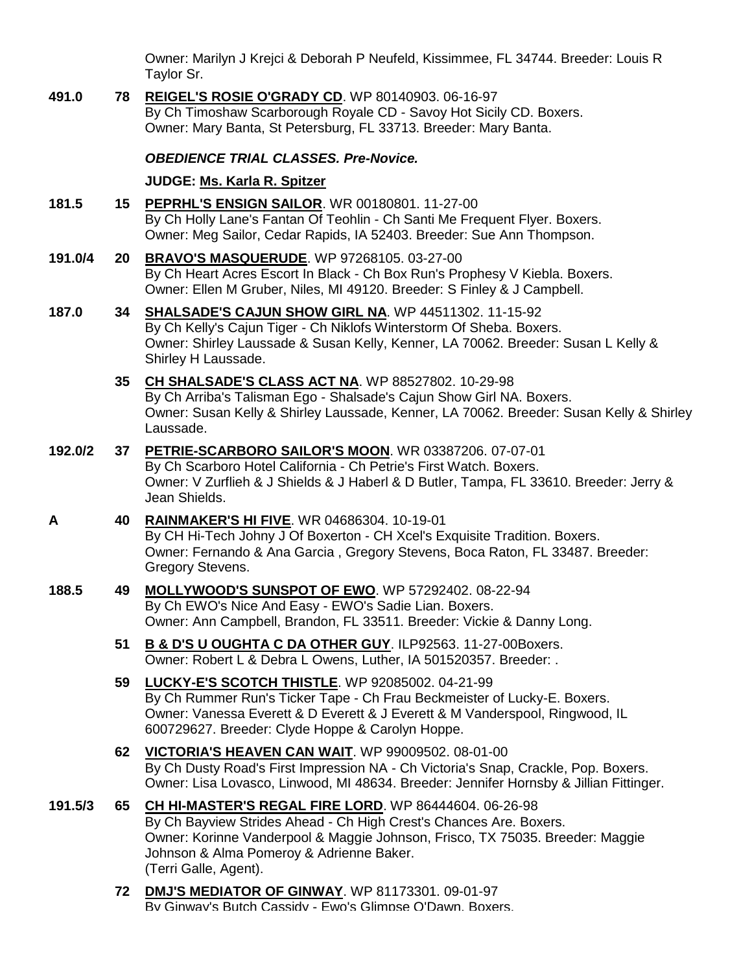Owner: Marilyn J Krejci & Deborah P Neufeld, Kissimmee, FL 34744. Breeder: Louis R Taylor Sr.

**491.0 78 [REIGEL'S ROSIE O'GRADY CD](http://www.infodog.com/my/drlookup2.htm?makc=WP%2080140903&mdog=Reigel%27s+Rosie+O%27Grady+CD&wins=all)**. WP 80140903. 06-16-97 By Ch Timoshaw Scarborough Royale CD - Savoy Hot Sicily CD. Boxers. Owner: Mary Banta, St Petersburg, FL 33713. Breeder: Mary Banta.

### *OBEDIENCE TRIAL CLASSES. Pre-Novice.*

### **JUDGE: [Ms. Karla R. Spitzer](http://www.infodog.com/show/judge/jdgprofile.htm?jn=19767)**

- **181.5 15 [PEPRHL'S ENSIGN SAILOR](http://www.infodog.com/my/drlookup2.htm?makc=WR%2000180801&mdog=Peprhl%27s+Ensign+Sailor&wins=all)**. WR 00180801. 11-27-00 By Ch Holly Lane's Fantan Of Teohlin - Ch Santi Me Frequent Flyer. Boxers. Owner: Meg Sailor, Cedar Rapids, IA 52403. Breeder: Sue Ann Thompson.
- **191.0/4 20 [BRAVO'S MASQUERUDE](http://www.infodog.com/my/drlookup2.htm?makc=WP%2097268105&mdog=Bravo%27s+Masquerude&wins=all)**. WP 97268105. 03-27-00 By Ch Heart Acres Escort In Black - Ch Box Run's Prophesy V Kiebla. Boxers. Owner: Ellen M Gruber, Niles, MI 49120. Breeder: S Finley & J Campbell.
- **187.0 34 [SHALSADE'S CAJUN SHOW GIRL NA](http://www.infodog.com/my/drlookup2.htm?makc=WP%2044511302&mdog=Shalsade%27s+Cajun+Show+Girl+NA&wins=all)**. WP 44511302. 11-15-92 By Ch Kelly's Cajun Tiger - Ch Niklofs Winterstorm Of Sheba. Boxers. Owner: Shirley Laussade & Susan Kelly, Kenner, LA 70062. Breeder: Susan L Kelly & Shirley H Laussade.
	- **35 [CH SHALSADE'S CLASS ACT NA](http://www.infodog.com/my/drlookup2.htm?makc=WP%2088527802&mdog=Ch+Shalsade%27s+Class+Act+NA&wins=all)**. WP 88527802. 10-29-98 By Ch Arriba's Talisman Ego - Shalsade's Cajun Show Girl NA. Boxers. Owner: Susan Kelly & Shirley Laussade, Kenner, LA 70062. Breeder: Susan Kelly & Shirley Laussade.
- **192.0/2 37 [PETRIE-SCARBORO SAILOR'S MOON](http://www.infodog.com/my/drlookup2.htm?makc=WR%2003387206&mdog=Petrie-Scarboro+Sailor%27s+Moon&wins=all)**. WR 03387206. 07-07-01 By Ch Scarboro Hotel California - Ch Petrie's First Watch. Boxers. Owner: V Zurflieh & J Shields & J Haberl & D Butler, Tampa, FL 33610. Breeder: Jerry & Jean Shields.
- **A 40 [RAINMAKER'S HI FIVE](http://www.infodog.com/my/drlookup2.htm?makc=WR%2004686304&mdog=Rainmaker%27s+Hi+Five&wins=all)**. WR 04686304. 10-19-01 By CH Hi-Tech Johny J Of Boxerton - CH Xcel's Exquisite Tradition. Boxers. Owner: Fernando & Ana Garcia , Gregory Stevens, Boca Raton, FL 33487. Breeder: Gregory Stevens.
- **188.5 49 [MOLLYWOOD'S SUNSPOT OF EWO](http://www.infodog.com/my/drlookup2.htm?makc=WP%2057292402&mdog=Mollywood%27s+Sunspot+Of+EWO&wins=all)**. WP 57292402. 08-22-94 By Ch EWO's Nice And Easy - EWO's Sadie Lian. Boxers. Owner: Ann Campbell, Brandon, FL 33511. Breeder: Vickie & Danny Long.
	- **51 [B & D'S U OUGHTA C DA OTHER GUY](http://www.infodog.com/my/drlookup2.htm?makc=ILP92563&mdog=B+&+D%27s+U+Oughta+C+Da+Other+Guy&wins=all)**. ILP92563. 11-27-00Boxers. Owner: Robert L & Debra L Owens, Luther, IA 501520357. Breeder: .
	- **59 [LUCKY-E'S SCOTCH THISTLE](http://www.infodog.com/my/drlookup2.htm?makc=WP%2092085002&mdog=Lucky-E%27s+Scotch+Thistle&wins=all)**. WP 92085002. 04-21-99 By Ch Rummer Run's Ticker Tape - Ch Frau Beckmeister of Lucky-E. Boxers. Owner: Vanessa Everett & D Everett & J Everett & M Vanderspool, Ringwood, IL 600729627. Breeder: Clyde Hoppe & Carolyn Hoppe.
	- **62 [VICTORIA'S HEAVEN CAN WAIT](http://www.infodog.com/my/drlookup2.htm?makc=WP%2099009502&mdog=Victoria%27s+Heaven+Can+Wait&wins=all)**. WP 99009502. 08-01-00 By Ch Dusty Road's First Impression NA - Ch Victoria's Snap, Crackle, Pop. Boxers. Owner: Lisa Lovasco, Linwood, MI 48634. Breeder: Jennifer Hornsby & Jillian Fittinger.
- **191.5/3 65 [CH HI-MASTER'S REGAL FIRE LORD](http://www.infodog.com/my/drlookup2.htm?makc=WP%2086444604&mdog=Ch+Hi-Master%27s+Regal+Fire+Lord&wins=all)**. WP 86444604. 06-26-98 By Ch Bayview Strides Ahead - Ch High Crest's Chances Are. Boxers. Owner: Korinne Vanderpool & Maggie Johnson, Frisco, TX 75035. Breeder: Maggie Johnson & Alma Pomeroy & Adrienne Baker. (Terri Galle, Agent).
	- **72 [DMJ'S MEDIATOR OF GINWAY](http://www.infodog.com/my/drlookup2.htm?makc=WP%2081173301&mdog=DMJ%27s+Mediator+Of+Ginway&wins=all)**. WP 81173301. 09-01-97 By Ginway's Butch Cassidy - Ewo's Glimpse O'Dawn. Boxers.